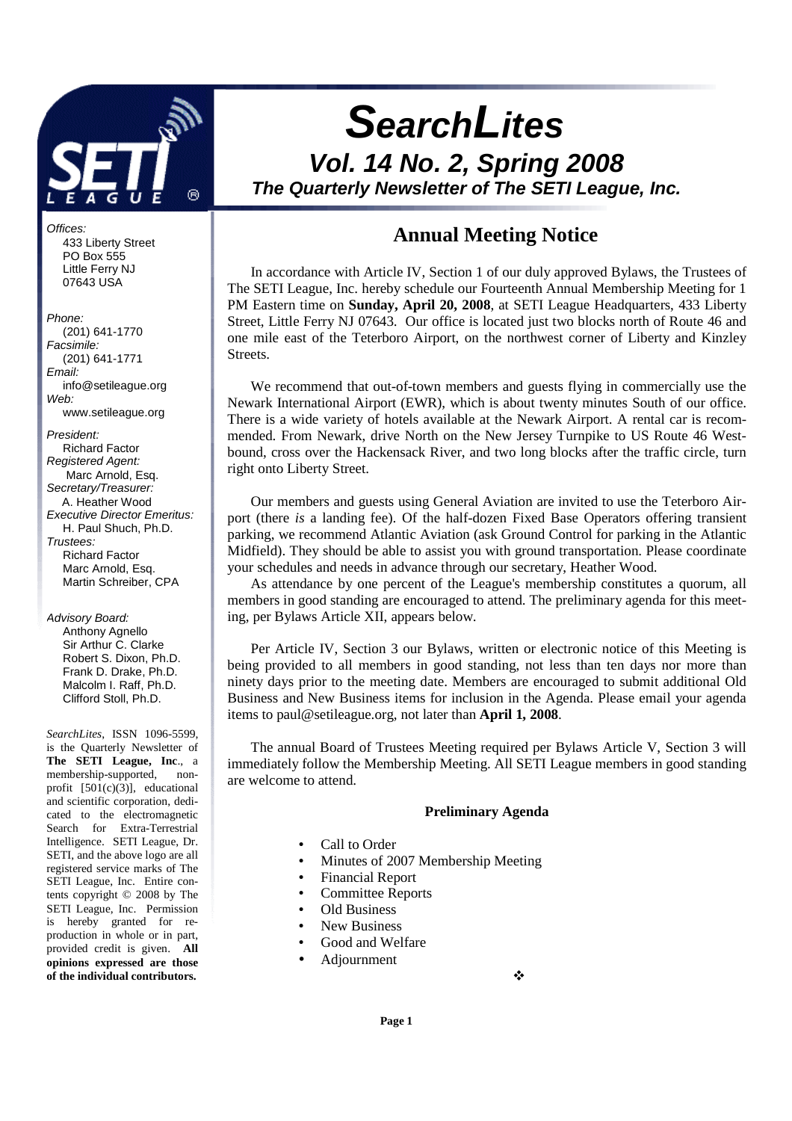

Offices: 433 Liberty Street PO Box 555 Little Ferry NJ 07643 USA

#### Phone:

 (201) 641-1770 Facsimile: (201) 641-1771 Email: info@setileague.org Web: www.setileague.org President: Richard Factor Registered Agent: Marc Arnold, Esq. Secretary/Treasurer: A. Heather Wood Executive Director Emeritus: H. Paul Shuch, Ph.D. Trustees: Richard Factor Marc Arnold, Esq. Martin Schreiber, CPA

#### Advisory Board: Anthony Agnello

 Sir Arthur C. Clarke Robert S. Dixon, Ph.D. Frank D. Drake, Ph.D. Malcolm L. Raff, Ph.D. Clifford Stoll, Ph.D.

*SearchLites*, ISSN 1096-5599, is the Quarterly Newsletter of **The SETI League, Inc**., a membership-supported, nonprofit  $[501(c)(3)]$ , educational and scientific corporation, dedicated to the electromagnetic Search for Extra-Terrestrial Intelligence. SETI League, Dr. SETI, and the above logo are all registered service marks of The SETI League, Inc. Entire contents copyright © 2008 by The SETI League, Inc. Permission is hereby granted for reproduction in whole or in part, provided credit is given. **All opinions expressed are those of the individual contributors.** 

# **SearchLites Vol. 14 No. 2, Spring 2008 The Quarterly Newsletter of The SETI League, Inc.**

## **Annual Meeting Notice**

In accordance with Article IV, Section 1 of our duly approved Bylaws, the Trustees of The SETI League, Inc. hereby schedule our Fourteenth Annual Membership Meeting for 1 PM Eastern time on **Sunday, April 20, 2008**, at SETI League Headquarters, 433 Liberty Street, Little Ferry NJ 07643. Our office is located just two blocks north of Route 46 and one mile east of the Teterboro Airport, on the northwest corner of Liberty and Kinzley Streets.

We recommend that out-of-town members and guests flying in commercially use the Newark International Airport (EWR), which is about twenty minutes South of our office. There is a wide variety of hotels available at the Newark Airport. A rental car is recommended. From Newark, drive North on the New Jersey Turnpike to US Route 46 Westbound, cross over the Hackensack River, and two long blocks after the traffic circle, turn right onto Liberty Street.

Our members and guests using General Aviation are invited to use the Teterboro Airport (there *is* a landing fee). Of the half-dozen Fixed Base Operators offering transient parking, we recommend Atlantic Aviation (ask Ground Control for parking in the Atlantic Midfield). They should be able to assist you with ground transportation. Please coordinate your schedules and needs in advance through our secretary, Heather Wood.

As attendance by one percent of the League's membership constitutes a quorum, all members in good standing are encouraged to attend. The preliminary agenda for this meeting, per Bylaws Article XII, appears below.

Per Article IV, Section 3 our Bylaws, written or electronic notice of this Meeting is being provided to all members in good standing, not less than ten days nor more than ninety days prior to the meeting date. Members are encouraged to submit additional Old Business and New Business items for inclusion in the Agenda. Please email your agenda items to paul@setileague.org, not later than **April 1, 2008**.

The annual Board of Trustees Meeting required per Bylaws Article V, Section 3 will immediately follow the Membership Meeting. All SETI League members in good standing are welcome to attend.

#### **Preliminary Agenda**

- Call to Order
- Minutes of 2007 Membership Meeting
- Financial Report
- Committee Reports
- Old Business
- New Business
- Good and Welfare
- Adjournment

❖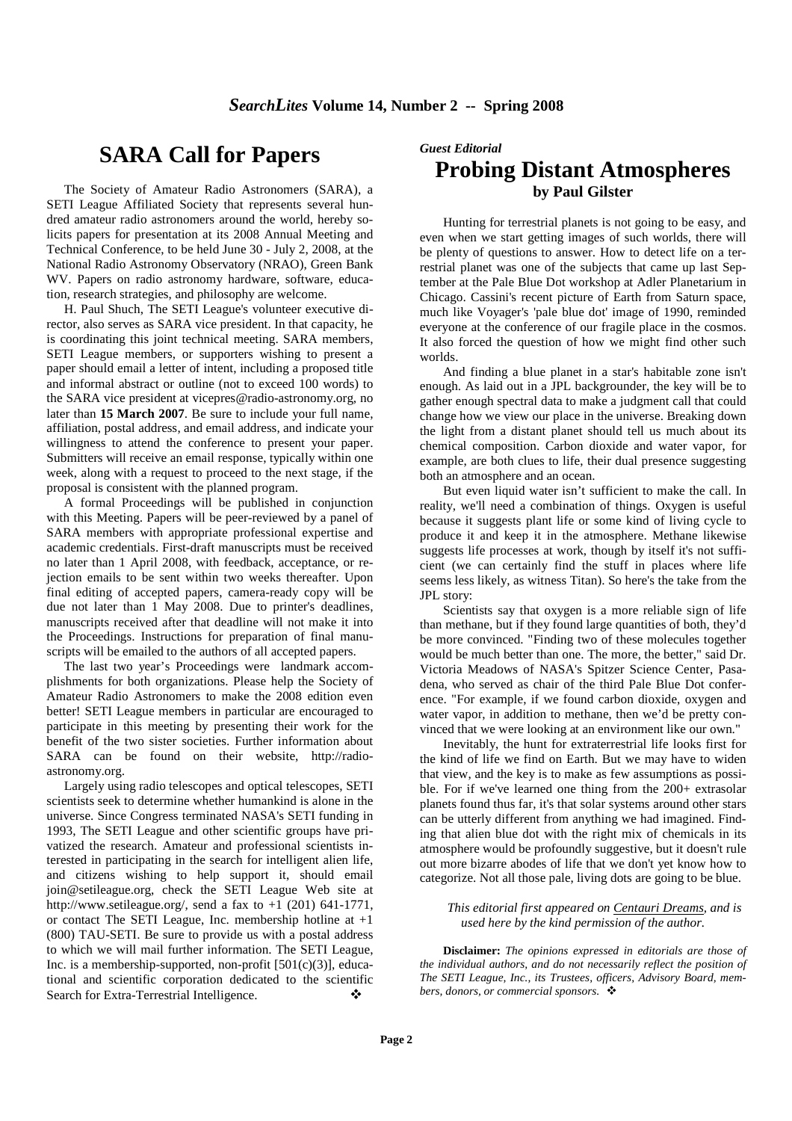## **SARA Call for Papers**

The Society of Amateur Radio Astronomers (SARA), a SETI League Affiliated Society that represents several hundred amateur radio astronomers around the world, hereby solicits papers for presentation at its 2008 Annual Meeting and Technical Conference, to be held June 30 - July 2, 2008, at the National Radio Astronomy Observatory (NRAO), Green Bank WV. Papers on radio astronomy hardware, software, education, research strategies, and philosophy are welcome.

H. Paul Shuch, The SETI League's volunteer executive director, also serves as SARA vice president. In that capacity, he is coordinating this joint technical meeting. SARA members, SETI League members, or supporters wishing to present a paper should email a letter of intent, including a proposed title and informal abstract or outline (not to exceed 100 words) to the SARA vice president at vicepres@radio-astronomy.org, no later than **15 March 2007**. Be sure to include your full name, affiliation, postal address, and email address, and indicate your willingness to attend the conference to present your paper. Submitters will receive an email response, typically within one week, along with a request to proceed to the next stage, if the proposal is consistent with the planned program.

A formal Proceedings will be published in conjunction with this Meeting. Papers will be peer-reviewed by a panel of SARA members with appropriate professional expertise and academic credentials. First-draft manuscripts must be received no later than 1 April 2008, with feedback, acceptance, or rejection emails to be sent within two weeks thereafter. Upon final editing of accepted papers, camera-ready copy will be due not later than 1 May 2008. Due to printer's deadlines, manuscripts received after that deadline will not make it into the Proceedings. Instructions for preparation of final manuscripts will be emailed to the authors of all accepted papers.

The last two year's Proceedings were landmark accomplishments for both organizations. Please help the Society of Amateur Radio Astronomers to make the 2008 edition even better! SETI League members in particular are encouraged to participate in this meeting by presenting their work for the benefit of the two sister societies. Further information about SARA can be found on their website, http://radioastronomy.org.

Largely using radio telescopes and optical telescopes, SETI scientists seek to determine whether humankind is alone in the universe. Since Congress terminated NASA's SETI funding in 1993, The SETI League and other scientific groups have privatized the research. Amateur and professional scientists interested in participating in the search for intelligent alien life, and citizens wishing to help support it, should email join@setileague.org, check the SETI League Web site at http://www.setileague.org/, send a fax to +1 (201) 641-1771, or contact The SETI League, Inc. membership hotline at +1 (800) TAU-SETI. Be sure to provide us with a postal address to which we will mail further information. The SETI League, Inc. is a membership-supported, non-profit  $[501(c)(3)]$ , educational and scientific corporation dedicated to the scientific Search for Extra-Terrestrial Intelligence. ❖

### *Guest Editorial* **Probing Distant Atmospheres by Paul Gilster**

Hunting for terrestrial planets is not going to be easy, and even when we start getting images of such worlds, there will be plenty of questions to answer. How to detect life on a terrestrial planet was one of the subjects that came up last September at the Pale Blue Dot workshop at Adler Planetarium in Chicago. Cassini's recent picture of Earth from Saturn space, much like Voyager's 'pale blue dot' image of 1990, reminded everyone at the conference of our fragile place in the cosmos. It also forced the question of how we might find other such worlds.

And finding a blue planet in a star's habitable zone isn't enough. As laid out in a JPL backgrounder, the key will be to gather enough spectral data to make a judgment call that could change how we view our place in the universe. Breaking down the light from a distant planet should tell us much about its chemical composition. Carbon dioxide and water vapor, for example, are both clues to life, their dual presence suggesting both an atmosphere and an ocean.

But even liquid water isn't sufficient to make the call. In reality, we'll need a combination of things. Oxygen is useful because it suggests plant life or some kind of living cycle to produce it and keep it in the atmosphere. Methane likewise suggests life processes at work, though by itself it's not sufficient (we can certainly find the stuff in places where life seems less likely, as witness Titan). So here's the take from the JPL story:

Scientists say that oxygen is a more reliable sign of life than methane, but if they found large quantities of both, they'd be more convinced. "Finding two of these molecules together would be much better than one. The more, the better," said Dr. Victoria Meadows of NASA's Spitzer Science Center, Pasadena, who served as chair of the third Pale Blue Dot conference. "For example, if we found carbon dioxide, oxygen and water vapor, in addition to methane, then we'd be pretty convinced that we were looking at an environment like our own."

Inevitably, the hunt for extraterrestrial life looks first for the kind of life we find on Earth. But we may have to widen that view, and the key is to make as few assumptions as possible. For if we've learned one thing from the 200+ extrasolar planets found thus far, it's that solar systems around other stars can be utterly different from anything we had imagined. Finding that alien blue dot with the right mix of chemicals in its atmosphere would be profoundly suggestive, but it doesn't rule out more bizarre abodes of life that we don't yet know how to categorize. Not all those pale, living dots are going to be blue.

#### *This editorial first appeared on Centauri Dreams, and is used here by the kind permission of the author.*

**Disclaimer:** *The opinions expressed in editorials are those of the individual authors, and do not necessarily reflect the position of The SETI League, Inc., its Trustees, officers, Advisory Board, members, donors, or commercial sponsors.*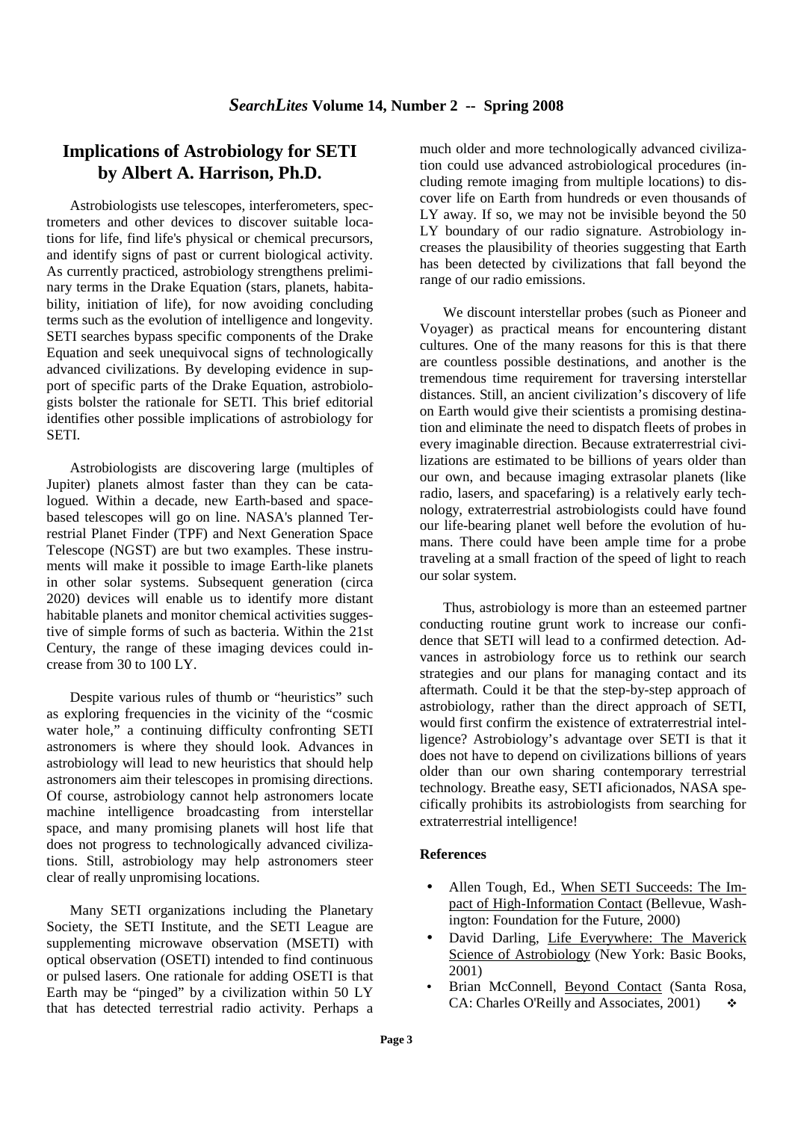### **Implications of Astrobiology for SETI by Albert A. Harrison, Ph.D.**

Astrobiologists use telescopes, interferometers, spectrometers and other devices to discover suitable locations for life, find life's physical or chemical precursors, and identify signs of past or current biological activity. As currently practiced, astrobiology strengthens preliminary terms in the Drake Equation (stars, planets, habitability, initiation of life), for now avoiding concluding terms such as the evolution of intelligence and longevity. SETI searches bypass specific components of the Drake Equation and seek unequivocal signs of technologically advanced civilizations. By developing evidence in support of specific parts of the Drake Equation, astrobiologists bolster the rationale for SETI. This brief editorial identifies other possible implications of astrobiology for SETI.

Astrobiologists are discovering large (multiples of Jupiter) planets almost faster than they can be catalogued. Within a decade, new Earth-based and spacebased telescopes will go on line. NASA's planned Terrestrial Planet Finder (TPF) and Next Generation Space Telescope (NGST) are but two examples. These instruments will make it possible to image Earth-like planets in other solar systems. Subsequent generation (circa 2020) devices will enable us to identify more distant habitable planets and monitor chemical activities suggestive of simple forms of such as bacteria. Within the 21st Century, the range of these imaging devices could increase from 30 to 100 LY.

Despite various rules of thumb or "heuristics" such as exploring frequencies in the vicinity of the "cosmic water hole," a continuing difficulty confronting SETI astronomers is where they should look. Advances in astrobiology will lead to new heuristics that should help astronomers aim their telescopes in promising directions. Of course, astrobiology cannot help astronomers locate machine intelligence broadcasting from interstellar space, and many promising planets will host life that does not progress to technologically advanced civilizations. Still, astrobiology may help astronomers steer clear of really unpromising locations.

Many SETI organizations including the Planetary Society, the SETI Institute, and the SETI League are supplementing microwave observation (MSETI) with optical observation (OSETI) intended to find continuous or pulsed lasers. One rationale for adding OSETI is that Earth may be "pinged" by a civilization within 50 LY that has detected terrestrial radio activity. Perhaps a

much older and more technologically advanced civilization could use advanced astrobiological procedures (including remote imaging from multiple locations) to discover life on Earth from hundreds or even thousands of LY away. If so, we may not be invisible beyond the 50 LY boundary of our radio signature. Astrobiology increases the plausibility of theories suggesting that Earth has been detected by civilizations that fall beyond the range of our radio emissions.

We discount interstellar probes (such as Pioneer and Voyager) as practical means for encountering distant cultures. One of the many reasons for this is that there are countless possible destinations, and another is the tremendous time requirement for traversing interstellar distances. Still, an ancient civilization's discovery of life on Earth would give their scientists a promising destination and eliminate the need to dispatch fleets of probes in every imaginable direction. Because extraterrestrial civilizations are estimated to be billions of years older than our own, and because imaging extrasolar planets (like radio, lasers, and spacefaring) is a relatively early technology, extraterrestrial astrobiologists could have found our life-bearing planet well before the evolution of humans. There could have been ample time for a probe traveling at a small fraction of the speed of light to reach our solar system.

Thus, astrobiology is more than an esteemed partner conducting routine grunt work to increase our confidence that SETI will lead to a confirmed detection. Advances in astrobiology force us to rethink our search strategies and our plans for managing contact and its aftermath. Could it be that the step-by-step approach of astrobiology, rather than the direct approach of SETI, would first confirm the existence of extraterrestrial intelligence? Astrobiology's advantage over SETI is that it does not have to depend on civilizations billions of years older than our own sharing contemporary terrestrial technology. Breathe easy, SETI aficionados, NASA specifically prohibits its astrobiologists from searching for extraterrestrial intelligence!

#### **References**

- Allen Tough, Ed., When SETI Succeeds: The Impact of High-Information Contact (Bellevue, Washington: Foundation for the Future, 2000)
- David Darling, Life Everywhere: The Maverick Science of Astrobiology (New York: Basic Books, 2001)
- Brian McConnell, Beyond Contact (Santa Rosa, CA: Charles O'Reilly and Associates, 2001) →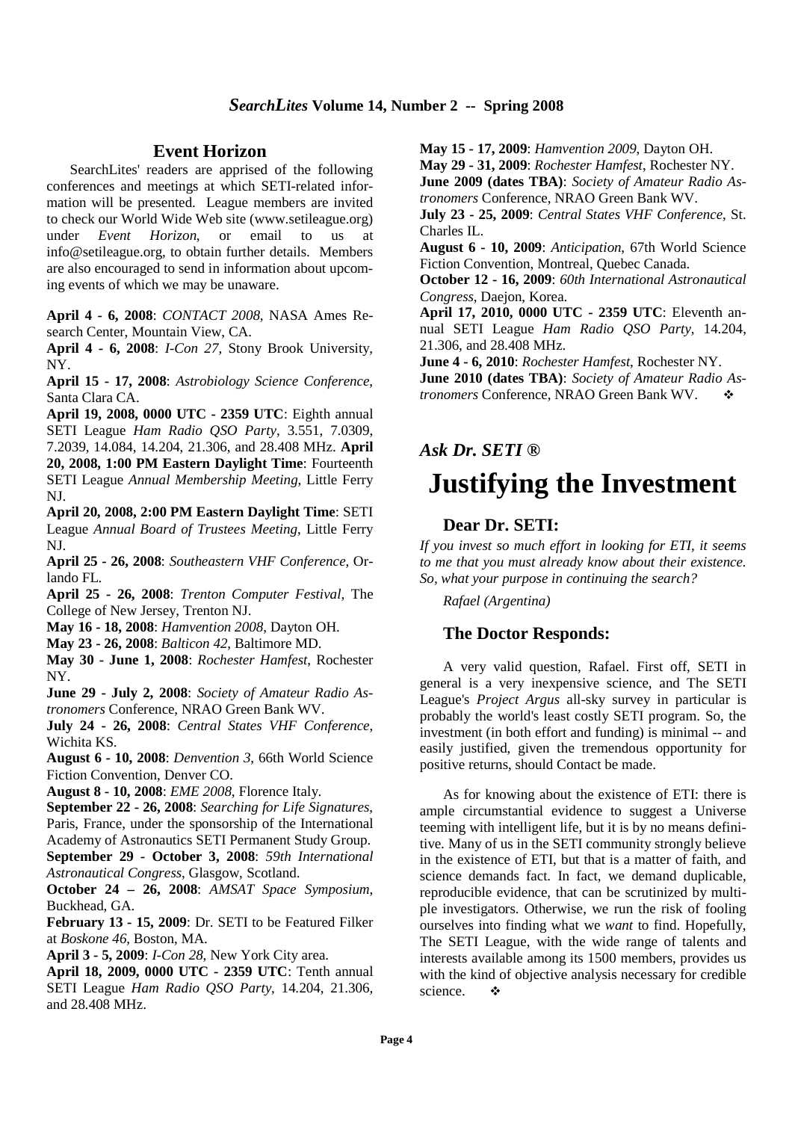### **Event Horizon**

SearchLites' readers are apprised of the following conferences and meetings at which SETI-related information will be presented. League members are invited to check our World Wide Web site (www.setileague.org) under *Event Horizon*, or email to us at info@setileague.org, to obtain further details. Members are also encouraged to send in information about upcoming events of which we may be unaware.

**April 4 - 6, 2008**: *CONTACT 2008*, NASA Ames Research Center, Mountain View, CA.

**April 4 - 6, 2008**: *I-Con 27*, Stony Brook University, NY.

**April 15 - 17, 2008**: *Astrobiology Science Conference*, Santa Clara CA.

**April 19, 2008, 0000 UTC - 2359 UTC**: Eighth annual SETI League *Ham Radio QSO Party*, 3.551, 7.0309, 7.2039, 14.084, 14.204, 21.306, and 28.408 MHz. **April 20, 2008, 1:00 PM Eastern Daylight Time**: Fourteenth SETI League *Annual Membership Meeting*, Little Ferry NJ.

**April 20, 2008, 2:00 PM Eastern Daylight Time**: SETI League *Annual Board of Trustees Meeting*, Little Ferry NJ.

**April 25 - 26, 2008**: *Southeastern VHF Conference*, Orlando FL.

**April 25 - 26, 2008**: *Trenton Computer Festival,* The College of New Jersey, Trenton NJ.

- **May 16 18, 2008**: *Hamvention 2008*, Dayton OH.
- **May 23 26, 2008**: *Balticon 42*, Baltimore MD.

**May 30 - June 1, 2008**: *Rochester Hamfest*, Rochester NY.

**June 29 - July 2, 2008**: *Society of Amateur Radio Astronomers* Conference, NRAO Green Bank WV.

**July 24 - 26, 2008**: *Central States VHF Conference*, Wichita KS.

**August 6 - 10, 2008**: *Denvention 3*, 66th World Science Fiction Convention, Denver CO.

**August 8 - 10, 2008**: *EME 2008*, Florence Italy.

**September 22 - 26, 2008**: *Searching for Life Signatures*, Paris, France, under the sponsorship of the International Academy of Astronautics SETI Permanent Study Group.

**September 29 - October 3, 2008**: *59th International Astronautical Congress*, Glasgow, Scotland.

**October 24 – 26, 2008**: *AMSAT Space Symposium*, Buckhead, GA.

**February 13 - 15, 2009**: Dr. SETI to be Featured Filker at *Boskone 46*, Boston, MA.

**April 3 - 5, 2009**: *I-Con 28*, New York City area.

**April 18, 2009, 0000 UTC - 2359 UTC**: Tenth annual SETI League *Ham Radio QSO Party*, 14.204, 21.306, and 28.408 MHz.

**May 15 - 17, 2009**: *Hamvention 2009*, Dayton OH.

**May 29 - 31, 2009**: *Rochester Hamfest*, Rochester NY.

**June 2009 (dates TBA)**: *Society of Amateur Radio Astronomers* Conference, NRAO Green Bank WV.

**July 23 - 25, 2009**: *Central States VHF Conference*, St. Charles IL.

**August 6 - 10, 2009**: *Anticipation*, 67th World Science Fiction Convention, Montreal, Quebec Canada.

**October 12 - 16, 2009**: *60th International Astronautical Congress*, Daejon, Korea.

**April 17, 2010, 0000 UTC - 2359 UTC**: Eleventh annual SETI League *Ham Radio QSO Party*, 14.204, 21.306, and 28.408 MHz.

**June 4 - 6, 2010**: *Rochester Hamfest*, Rochester NY.

**June 2010 (dates TBA)**: *Society of Amateur Radio Astronomers* Conference, NRAO Green Bank WV.

# *Ask Dr. SETI ®* **Justifying the Investment**

### **Dear Dr. SETI:**

*If you invest so much effort in looking for ETI, it seems to me that you must already know about their existence. So, what your purpose in continuing the search?* 

*Rafael (Argentina)*

### **The Doctor Responds:**

A very valid question, Rafael. First off, SETI in general is a very inexpensive science, and The SETI League's *Project Argus* all-sky survey in particular is probably the world's least costly SETI program. So, the investment (in both effort and funding) is minimal -- and easily justified, given the tremendous opportunity for positive returns, should Contact be made.

As for knowing about the existence of ETI: there is ample circumstantial evidence to suggest a Universe teeming with intelligent life, but it is by no means definitive. Many of us in the SETI community strongly believe in the existence of ETI, but that is a matter of faith, and science demands fact. In fact, we demand duplicable, reproducible evidence, that can be scrutinized by multiple investigators. Otherwise, we run the risk of fooling ourselves into finding what we *want* to find. Hopefully, The SETI League, with the wide range of talents and interests available among its 1500 members, provides us with the kind of objective analysis necessary for credible science.  $\bullet$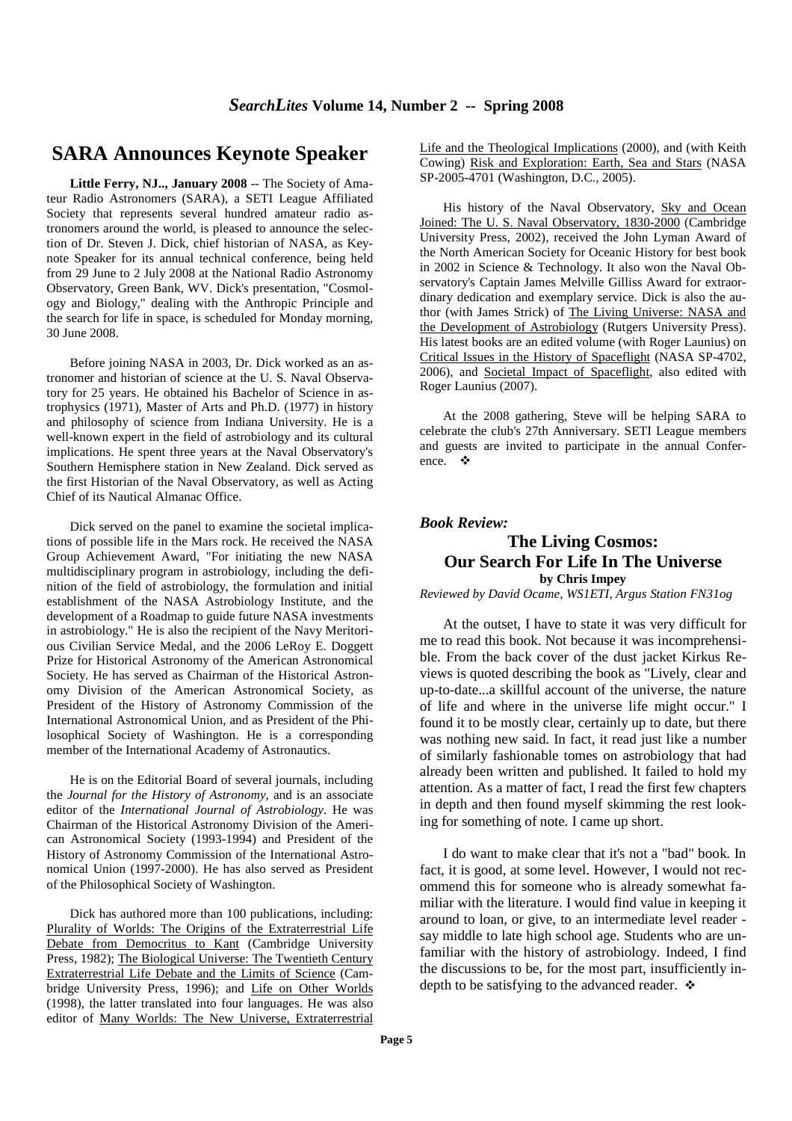### **SARA Announces Keynote Speaker**

**Little Ferry, NJ.., January 2008** -- The Society of Amateur Radio Astronomers (SARA), a SETI League Affiliated Society that represents several hundred amateur radio astronomers around the world, is pleased to announce the selection of Dr. Steven J. Dick, chief historian of NASA, as Keynote Speaker for its annual technical conference, being held from 29 June to 2 July 2008 at the National Radio Astronomy Observatory, Green Bank, WV. Dick's presentation, "Cosmology and Biology," dealing with the Anthropic Principle and the search for life in space, is scheduled for Monday morning, 30 June 2008.

Before joining NASA in 2003, Dr. Dick worked as an astronomer and historian of science at the U. S. Naval Observatory for 25 years. He obtained his Bachelor of Science in astrophysics (1971), Master of Arts and Ph.D. (1977) in history and philosophy of science from Indiana University. He is a well-known expert in the field of astrobiology and its cultural implications. He spent three years at the Naval Observatory's Southern Hemisphere station in New Zealand. Dick served as the first Historian of the Naval Observatory, as well as Acting Chief of its Nautical Almanac Office.

Dick served on the panel to examine the societal implications of possible life in the Mars rock. He received the NASA Group Achievement Award, "For initiating the new NASA multidisciplinary program in astrobiology, including the definition of the field of astrobiology, the formulation and initial establishment of the NASA Astrobiology Institute, and the development of a Roadmap to guide future NASA investments in astrobiology." He is also the recipient of the Navy Meritorious Civilian Service Medal, and the 2006 LeRoy E. Doggett Prize for Historical Astronomy of the American Astronomical Society. He has served as Chairman of the Historical Astronomy Division of the American Astronomical Society, as President of the History of Astronomy Commission of the International Astronomical Union, and as President of the Philosophical Society of Washington. He is a corresponding member of the International Academy of Astronautics.

He is on the Editorial Board of several journals, including the *Journal for the History of Astronomy*, and is an associate editor of the *International Journal of Astrobiology*. He was Chairman of the Historical Astronomy Division of the American Astronomical Society (1993-1994) and President of the History of Astronomy Commission of the International Astronomical Union (1997-2000). He has also served as President of the Philosophical Society of Washington.

Dick has authored more than 100 publications, including: Plurality of Worlds: The Origins of the Extraterrestrial Life Debate from Democritus to Kant (Cambridge University Press, 1982); The Biological Universe: The Twentieth Century Extraterrestrial Life Debate and the Limits of Science (Cambridge University Press, 1996); and Life on Other Worlds (1998), the latter translated into four languages. He was also editor of Many Worlds: The New Universe, Extraterrestrial

Life and the Theological Implications (2000), and (with Keith Cowing) Risk and Exploration: Earth, Sea and Stars (NASA SP-2005-4701 (Washington, D.C., 2005).

His history of the Naval Observatory, Sky and Ocean Joined: The U. S. Naval Observatory, 1830-2000 (Cambridge University Press, 2002), received the John Lyman Award of the North American Society for Oceanic History for best book in 2002 in Science & Technology. It also won the Naval Observatory's Captain James Melville Gilliss Award for extraordinary dedication and exemplary service. Dick is also the author (with James Strick) of The Living Universe: NASA and the Development of Astrobiology (Rutgers University Press). His latest books are an edited volume (with Roger Launius) on Critical Issues in the History of Spaceflight (NASA SP-4702, 2006), and Societal Impact of Spaceflight, also edited with Roger Launius (2007).

At the 2008 gathering, Steve will be helping SARA to celebrate the club's 27th Anniversary. SETI League members and guests are invited to participate in the annual Conference.  $\bullet$ 

#### *Book Review:*

#### **The Living Cosmos: Our Search For Life In The Universe by Chris Impey**

*Reviewed by David Ocame, WS1ETI, Argus Station FN31og* 

At the outset, I have to state it was very difficult for me to read this book. Not because it was incomprehensible. From the back cover of the dust jacket Kirkus Reviews is quoted describing the book as "Lively, clear and up-to-date...a skillful account of the universe, the nature of life and where in the universe life might occur." I found it to be mostly clear, certainly up to date, but there was nothing new said. In fact, it read just like a number of similarly fashionable tomes on astrobiology that had already been written and published. It failed to hold my attention. As a matter of fact, I read the first few chapters in depth and then found myself skimming the rest looking for something of note. I came up short.

I do want to make clear that it's not a "bad" book. In fact, it is good, at some level. However, I would not recommend this for someone who is already somewhat familiar with the literature. I would find value in keeping it around to loan, or give, to an intermediate level reader say middle to late high school age. Students who are unfamiliar with the history of astrobiology. Indeed, I find the discussions to be, for the most part, insufficiently indepth to be satisfying to the advanced reader.  $\mathbf{\hat{*}}$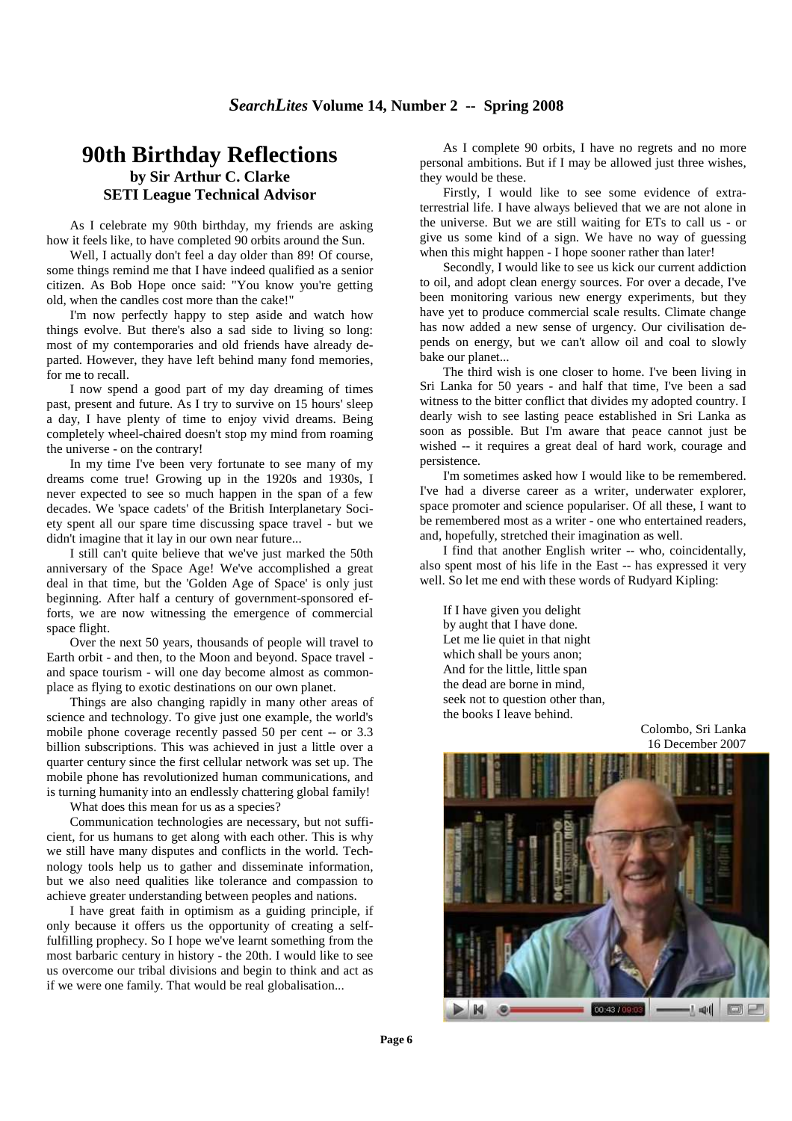### **90th Birthday Reflections by Sir Arthur C. Clarke SETI League Technical Advisor**

As I celebrate my 90th birthday, my friends are asking how it feels like, to have completed 90 orbits around the Sun.

Well, I actually don't feel a day older than 89! Of course, some things remind me that I have indeed qualified as a senior citizen. As Bob Hope once said: "You know you're getting old, when the candles cost more than the cake!"

I'm now perfectly happy to step aside and watch how things evolve. But there's also a sad side to living so long: most of my contemporaries and old friends have already departed. However, they have left behind many fond memories, for me to recall.

I now spend a good part of my day dreaming of times past, present and future. As I try to survive on 15 hours' sleep a day, I have plenty of time to enjoy vivid dreams. Being completely wheel-chaired doesn't stop my mind from roaming the universe - on the contrary!

In my time I've been very fortunate to see many of my dreams come true! Growing up in the 1920s and 1930s, I never expected to see so much happen in the span of a few decades. We 'space cadets' of the British Interplanetary Society spent all our spare time discussing space travel - but we didn't imagine that it lay in our own near future...

I still can't quite believe that we've just marked the 50th anniversary of the Space Age! We've accomplished a great deal in that time, but the 'Golden Age of Space' is only just beginning. After half a century of government-sponsored efforts, we are now witnessing the emergence of commercial space flight.

Over the next 50 years, thousands of people will travel to Earth orbit - and then, to the Moon and beyond. Space travel and space tourism - will one day become almost as commonplace as flying to exotic destinations on our own planet.

Things are also changing rapidly in many other areas of science and technology. To give just one example, the world's mobile phone coverage recently passed 50 per cent -- or 3.3 billion subscriptions. This was achieved in just a little over a quarter century since the first cellular network was set up. The mobile phone has revolutionized human communications, and is turning humanity into an endlessly chattering global family!

What does this mean for us as a species?

Communication technologies are necessary, but not sufficient, for us humans to get along with each other. This is why we still have many disputes and conflicts in the world. Technology tools help us to gather and disseminate information, but we also need qualities like tolerance and compassion to achieve greater understanding between peoples and nations.

I have great faith in optimism as a guiding principle, if only because it offers us the opportunity of creating a selffulfilling prophecy. So I hope we've learnt something from the most barbaric century in history - the 20th. I would like to see us overcome our tribal divisions and begin to think and act as if we were one family. That would be real globalisation...

As I complete 90 orbits, I have no regrets and no more personal ambitions. But if I may be allowed just three wishes, they would be these.

Firstly, I would like to see some evidence of extraterrestrial life. I have always believed that we are not alone in the universe. But we are still waiting for ETs to call us - or give us some kind of a sign. We have no way of guessing when this might happen - I hope sooner rather than later!

Secondly, I would like to see us kick our current addiction to oil, and adopt clean energy sources. For over a decade, I've been monitoring various new energy experiments, but they have yet to produce commercial scale results. Climate change has now added a new sense of urgency. Our civilisation depends on energy, but we can't allow oil and coal to slowly bake our planet...

The third wish is one closer to home. I've been living in Sri Lanka for 50 years - and half that time, I've been a sad witness to the bitter conflict that divides my adopted country. I dearly wish to see lasting peace established in Sri Lanka as soon as possible. But I'm aware that peace cannot just be wished -- it requires a great deal of hard work, courage and persistence.

I'm sometimes asked how I would like to be remembered. I've had a diverse career as a writer, underwater explorer, space promoter and science populariser. Of all these, I want to be remembered most as a writer - one who entertained readers, and, hopefully, stretched their imagination as well.

I find that another English writer -- who, coincidentally, also spent most of his life in the East -- has expressed it very well. So let me end with these words of Rudyard Kipling:

If I have given you delight by aught that I have done. Let me lie quiet in that night which shall be yours anon; And for the little, little span the dead are borne in mind, seek not to question other than. the books I leave behind.

> Colombo, Sri Lanka 16 December 2007

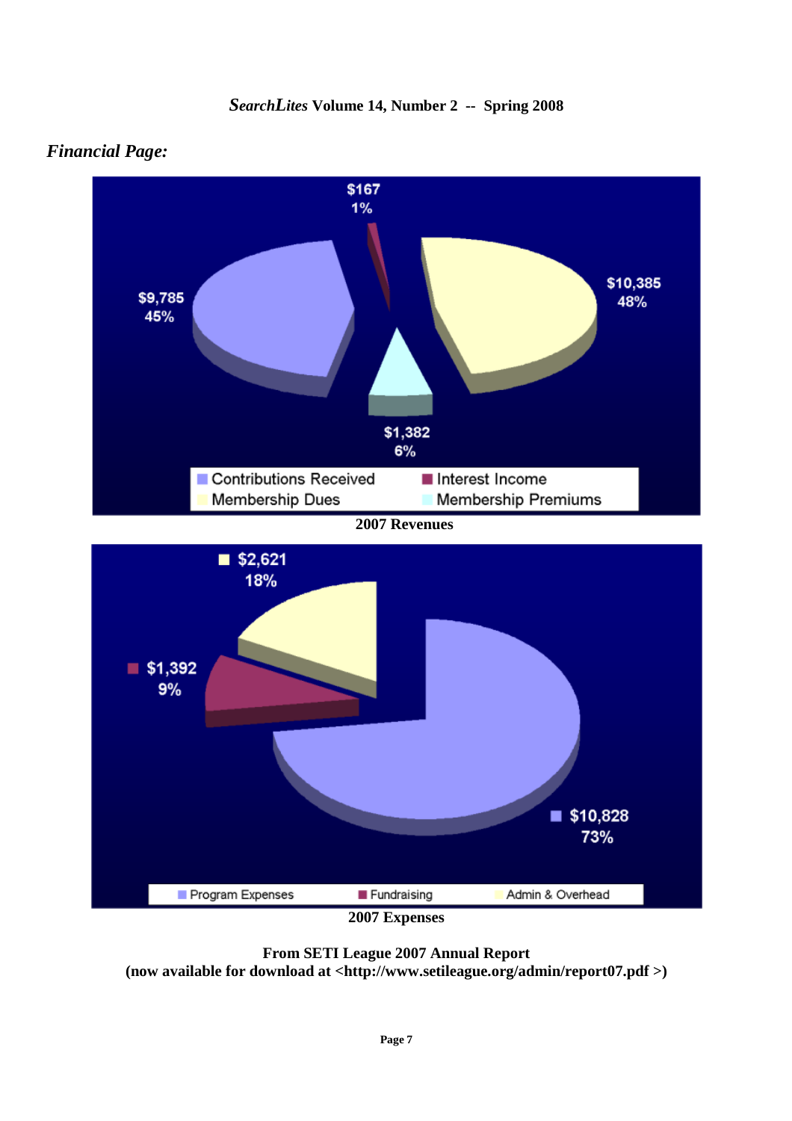



### *Financial Page:*

**From SETI League 2007 Annual Report (now available for download at <http://www.setileague.org/admin/report07.pdf >)**